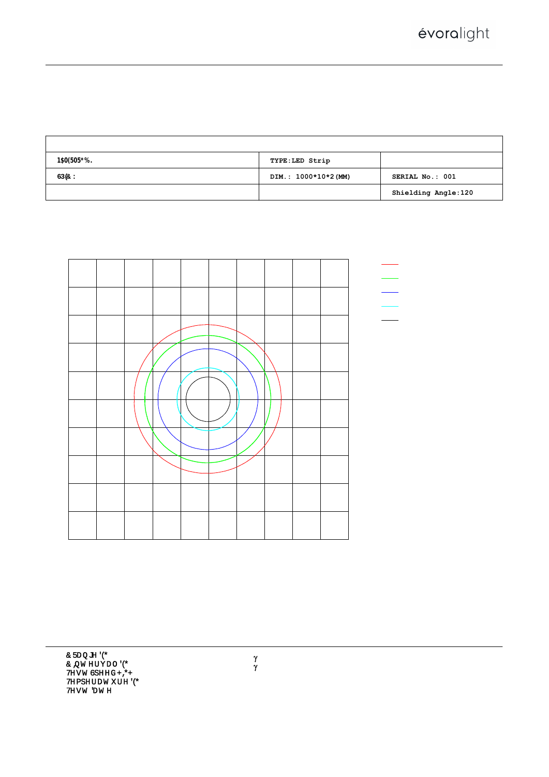## $9J9F: = B9$ ;  $CB = CD < CHCAGH9FG$  GMGH9A H9GH F9DC

 $= G C @ I L' 8 = 5 ; F 5 A$ 

| HYgh. I. & ("SSJ = . S" %& + - 5 \cdot D. ' "S + SK \cdot D: . %" SSS \cdot @Uad \cdot \cdot i \cdot i \cdot & l % \cdot a |                                                           |                 |  |  |  |  |  |  |
|----------------------------------------------------------------------------------------------------------------------------|-----------------------------------------------------------|-----------------|--|--|--|--|--|--|
| $B5A9.$ $FA)$ ) ! $F: 6 &$ (*)?                                                                                            | TYPE:LED Strip                                            | $K9 = : < H.$   |  |  |  |  |  |  |
| $G$ D 9 7 " $\cdot$ %, K                                                                                                   | DIM.: 1000*10*2(MM)                                       | SERIAL No.: 001 |  |  |  |  |  |  |
| MFR.: Évoralight, Inc.                                                                                                     | $G I F''$ . $S'' S S & 1 \% S'' S \%$ Shielding Angle:120 |                 |  |  |  |  |  |  |



 $\pmb{\gamma}$  $\rho$  $\rho$  $\rho$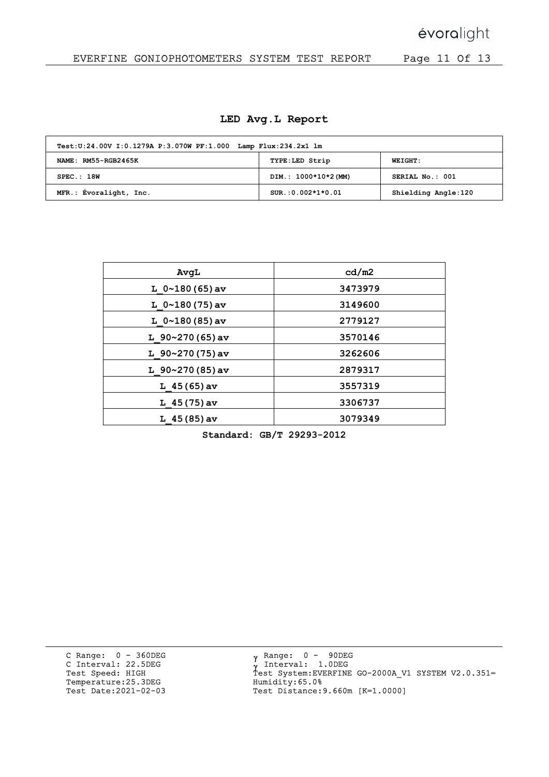## évoralight

## EVERFINE GONIOPHOTOMETERS SYSTEM TEST REPORT Page 11 Of 13

|  |  |  |  | LED Avg.L Report |
|--|--|--|--|------------------|
|--|--|--|--|------------------|

| Test: U:24.00V I:0.1279A P:3.070W PF:1.000 Lamp Flux: 234.2x1 lm |                      |                     |  |  |  |  |  |  |  |
|------------------------------------------------------------------|----------------------|---------------------|--|--|--|--|--|--|--|
| NAME: RM55-RGB2465K                                              | TYPE:LED Strip       | <b>WEIGHT:</b>      |  |  |  |  |  |  |  |
| SPEC.:18W                                                        | DIM.: 1000*10*2 (MM) | SERIAL No.: 001     |  |  |  |  |  |  |  |
| MFR.: Évoralight, Inc.                                           | $SUR.:0.002*1*0.01$  | Shielding Angle:120 |  |  |  |  |  |  |  |

| AvqL                  | cd/m2   |
|-----------------------|---------|
| L $0 \sim 180(65)$ av | 3473979 |
| L $0 \sim 180(75)$ av | 3149600 |
| L $0 \sim 180(85)$ av | 2779127 |
| L $90~270(65)$ av     | 3570146 |
| L $90~270(75)$ av     | 3262606 |
| L $90~270(85)$ av     | 2879317 |
| L $45(65)$ av         | 3557319 |
| L $45(75)$ av         | 3306737 |
| $L$ 45 (85) av        | 3079349 |

Standard: GB/T 29293-2012

C Range: 0 - 360DEG C Interval: 22.5DEG Test Speed: HIGH Temperature:25.3DEG Test Date:2021-02-03

 $\mathbf{v}$ γ<br>ν Ÿ Range: 0 - 90DEG Interval: 1.0DEG Test System:EVERFINE GO-2000A\_V1 SYSTEM V2.0.351= Humidity:65.0% Test Distance:9.660m [K=1.0000]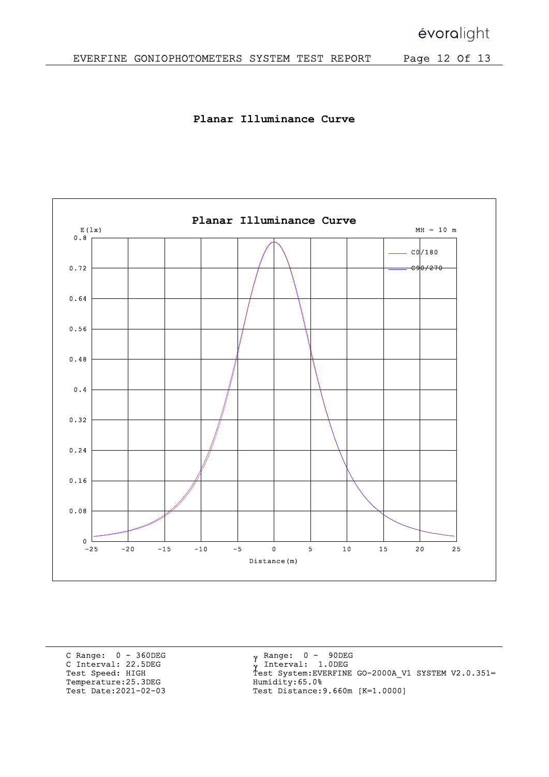Planar Illuminance Curve



C Range: 0 - 360DEG C Interval: 22.5DEG Test Speed: HIGH Temperature:25.3DEG Test Date:2021-02-03

 $\mathbf{v}$ γ<br>ν Ÿ Range: 0 - 90DEG Interval: 1.0DEG Test System:EVERFINE GO-2000A\_V1 SYSTEM V2.0.351= Humidity:65.0% Test Distance:9.660m [K=1.0000]